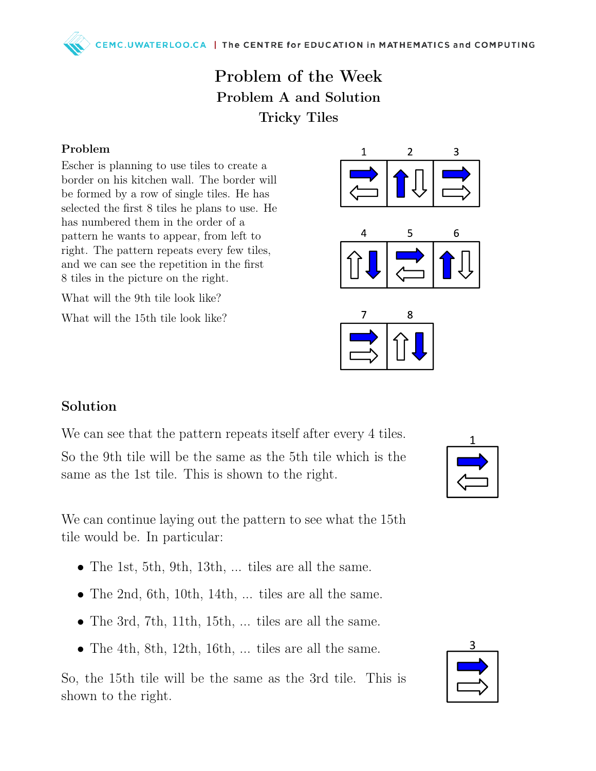MC.UWATERLOO.CA | The CENTRE for EDUCATION in MATHEMATICS and COMPUTING

## Problem of the Week Problem A and Solution Tricky Tiles

## Problem

Escher is planning to use tiles to create a border on his kitchen wall. The border will be formed by a row of single tiles. He has selected the first 8 tiles he plans to use. He has numbered them in the order of a pattern he wants to appear, from left to right. The pattern repeats every few tiles, and we can see the repetition in the first 8 tiles in the picture on the right.

What will the 9th tile look like?

What will the 15th tile look like?



## Solution

We can see that the pattern repeats itself after every 4 tiles.

So the 9th tile will be the same as the 5th tile which is the same as the 1st tile. This is shown to the right.

We can continue laying out the pattern to see what the 15th tile would be. In particular:

- The 1st, 5th, 9th, 13th, ... tiles are all the same.
- The 2nd, 6th, 10th, 14th, ... tiles are all the same.
- The 3rd, 7th, 11th, 15th, ... tiles are all the same.
- The 4th, 8th, 12th, 16th, ... tiles are all the same.

So, the 15th tile will be the same as the 3rd tile. This is shown to the right.